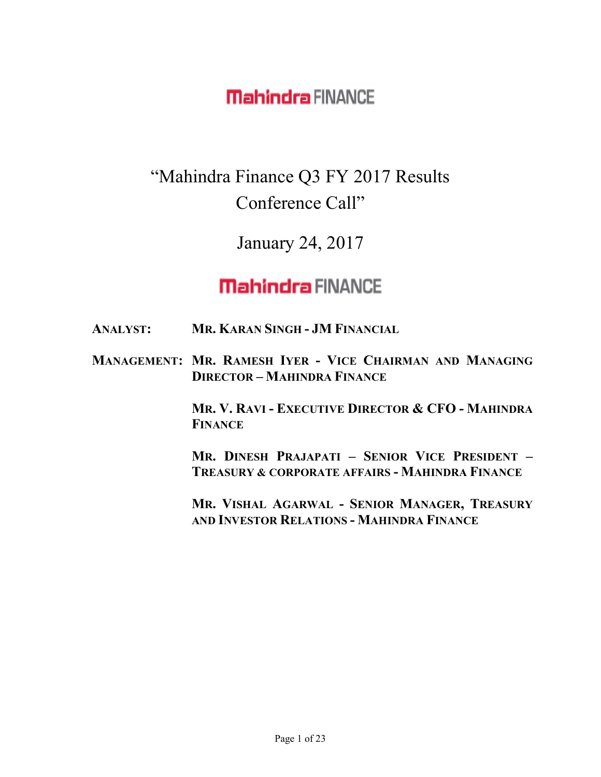# "Mahindra Finance Q3 FY 2017 Results Conference Call"

January 24, 2017

### **Mahindra FINANCE**

ANALYST: MR. KARAN SINGH - JM FINANCIAL

MANAGEMENT: MR. RAMESH IYER - VICE CHAIRMAN AND MANAGING DIRECTOR – MAHINDRA FINANCE

> MR. V. RAVI - EXECUTIVE DIRECTOR & CFO - MAHINDRA **FINANCE**

> MR. DINESH PRAJAPATI – SENIOR VICE PRESIDENT – TREASURY & CORPORATE AFFAIRS - MAHINDRA FINANCE

> MR. VISHAL AGARWAL - SENIOR MANAGER, TREASURY AND INVESTOR RELATIONS - MAHINDRA FINANCE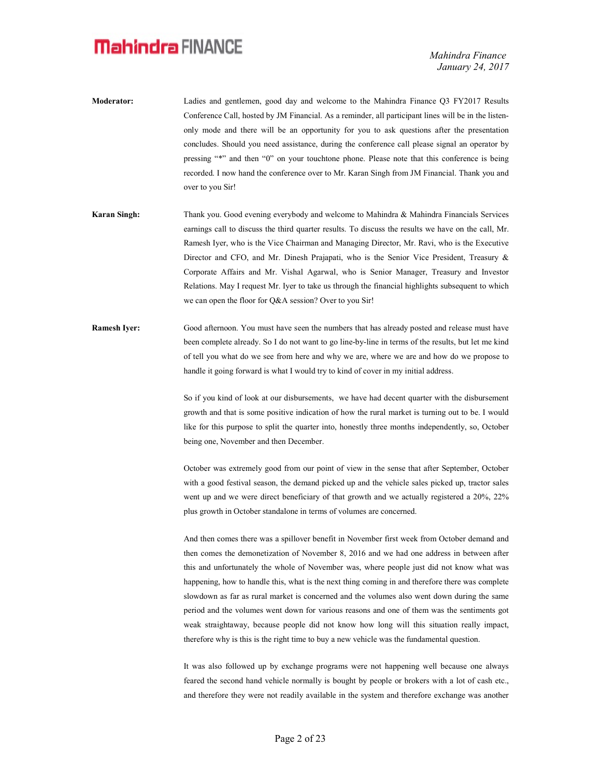Mahindra Finance January 24, 2017

- Moderator: Ladies and gentlemen, good day and welcome to the Mahindra Finance O3 FY2017 Results Conference Call, hosted by JM Financial. As a reminder, all participant lines will be in the listenonly mode and there will be an opportunity for you to ask questions after the presentation concludes. Should you need assistance, during the conference call please signal an operator by pressing "\*" and then "0" on your touchtone phone. Please note that this conference is being recorded. I now hand the conference over to Mr. Karan Singh from JM Financial. Thank you and over to you Sir!
- Karan Singh: Thank you. Good evening everybody and welcome to Mahindra & Mahindra Financials Services earnings call to discuss the third quarter results. To discuss the results we have on the call, Mr. Ramesh Iyer, who is the Vice Chairman and Managing Director, Mr. Ravi, who is the Executive Director and CFO, and Mr. Dinesh Prajapati, who is the Senior Vice President, Treasury & Corporate Affairs and Mr. Vishal Agarwal, who is Senior Manager, Treasury and Investor Relations. May I request Mr. Iyer to take us through the financial highlights subsequent to which we can open the floor for Q&A session? Over to you Sir!
- Ramesh Iyer: Good afternoon. You must have seen the numbers that has already posted and release must have been complete already. So I do not want to go line-by-line in terms of the results, but let me kind of tell you what do we see from here and why we are, where we are and how do we propose to handle it going forward is what I would try to kind of cover in my initial address.

So if you kind of look at our disbursements, we have had decent quarter with the disbursement growth and that is some positive indication of how the rural market is turning out to be. I would like for this purpose to split the quarter into, honestly three months independently, so, October being one, November and then December.

 October was extremely good from our point of view in the sense that after September, October with a good festival season, the demand picked up and the vehicle sales picked up, tractor sales went up and we were direct beneficiary of that growth and we actually registered a 20%, 22% plus growth in October standalone in terms of volumes are concerned.

 And then comes there was a spillover benefit in November first week from October demand and then comes the demonetization of November 8, 2016 and we had one address in between after this and unfortunately the whole of November was, where people just did not know what was happening, how to handle this, what is the next thing coming in and therefore there was complete slowdown as far as rural market is concerned and the volumes also went down during the same period and the volumes went down for various reasons and one of them was the sentiments got weak straightaway, because people did not know how long will this situation really impact, therefore why is this is the right time to buy a new vehicle was the fundamental question.

 It was also followed up by exchange programs were not happening well because one always feared the second hand vehicle normally is bought by people or brokers with a lot of cash etc., and therefore they were not readily available in the system and therefore exchange was another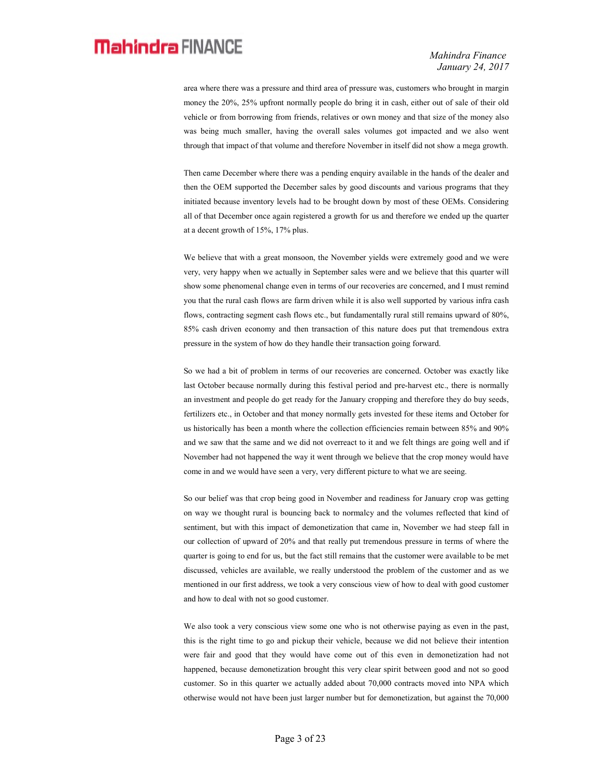area where there was a pressure and third area of pressure was, customers who brought in margin money the 20%, 25% upfront normally people do bring it in cash, either out of sale of their old vehicle or from borrowing from friends, relatives or own money and that size of the money also was being much smaller, having the overall sales volumes got impacted and we also went through that impact of that volume and therefore November in itself did not show a mega growth.

 Then came December where there was a pending enquiry available in the hands of the dealer and then the OEM supported the December sales by good discounts and various programs that they initiated because inventory levels had to be brought down by most of these OEMs. Considering all of that December once again registered a growth for us and therefore we ended up the quarter at a decent growth of 15%, 17% plus.

 We believe that with a great monsoon, the November yields were extremely good and we were very, very happy when we actually in September sales were and we believe that this quarter will show some phenomenal change even in terms of our recoveries are concerned, and I must remind you that the rural cash flows are farm driven while it is also well supported by various infra cash flows, contracting segment cash flows etc., but fundamentally rural still remains upward of 80%, 85% cash driven economy and then transaction of this nature does put that tremendous extra pressure in the system of how do they handle their transaction going forward.

 So we had a bit of problem in terms of our recoveries are concerned. October was exactly like last October because normally during this festival period and pre-harvest etc., there is normally an investment and people do get ready for the January cropping and therefore they do buy seeds, fertilizers etc., in October and that money normally gets invested for these items and October for us historically has been a month where the collection efficiencies remain between 85% and 90% and we saw that the same and we did not overreact to it and we felt things are going well and if November had not happened the way it went through we believe that the crop money would have come in and we would have seen a very, very different picture to what we are seeing.

 So our belief was that crop being good in November and readiness for January crop was getting on way we thought rural is bouncing back to normalcy and the volumes reflected that kind of sentiment, but with this impact of demonetization that came in, November we had steep fall in our collection of upward of 20% and that really put tremendous pressure in terms of where the quarter is going to end for us, but the fact still remains that the customer were available to be met discussed, vehicles are available, we really understood the problem of the customer and as we mentioned in our first address, we took a very conscious view of how to deal with good customer and how to deal with not so good customer.

 We also took a very conscious view some one who is not otherwise paying as even in the past, this is the right time to go and pickup their vehicle, because we did not believe their intention were fair and good that they would have come out of this even in demonetization had not happened, because demonetization brought this very clear spirit between good and not so good customer. So in this quarter we actually added about 70,000 contracts moved into NPA which otherwise would not have been just larger number but for demonetization, but against the 70,000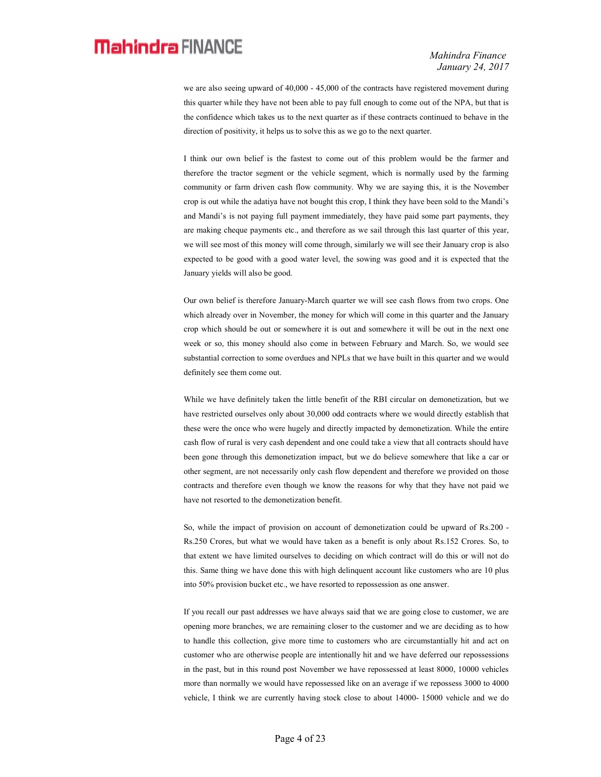we are also seeing upward of 40,000 - 45,000 of the contracts have registered movement during this quarter while they have not been able to pay full enough to come out of the NPA, but that is the confidence which takes us to the next quarter as if these contracts continued to behave in the direction of positivity, it helps us to solve this as we go to the next quarter.

 I think our own belief is the fastest to come out of this problem would be the farmer and therefore the tractor segment or the vehicle segment, which is normally used by the farming community or farm driven cash flow community. Why we are saying this, it is the November crop is out while the adatiya have not bought this crop, I think they have been sold to the Mandi's and Mandi's is not paying full payment immediately, they have paid some part payments, they are making cheque payments etc., and therefore as we sail through this last quarter of this year, we will see most of this money will come through, similarly we will see their January crop is also expected to be good with a good water level, the sowing was good and it is expected that the January yields will also be good.

 Our own belief is therefore January-March quarter we will see cash flows from two crops. One which already over in November, the money for which will come in this quarter and the January crop which should be out or somewhere it is out and somewhere it will be out in the next one week or so, this money should also come in between February and March. So, we would see substantial correction to some overdues and NPLs that we have built in this quarter and we would definitely see them come out.

 While we have definitely taken the little benefit of the RBI circular on demonetization, but we have restricted ourselves only about 30,000 odd contracts where we would directly establish that these were the once who were hugely and directly impacted by demonetization. While the entire cash flow of rural is very cash dependent and one could take a view that all contracts should have been gone through this demonetization impact, but we do believe somewhere that like a car or other segment, are not necessarily only cash flow dependent and therefore we provided on those contracts and therefore even though we know the reasons for why that they have not paid we have not resorted to the demonetization benefit.

 So, while the impact of provision on account of demonetization could be upward of Rs.200 - Rs.250 Crores, but what we would have taken as a benefit is only about Rs.152 Crores. So, to that extent we have limited ourselves to deciding on which contract will do this or will not do this. Same thing we have done this with high delinquent account like customers who are 10 plus into 50% provision bucket etc., we have resorted to repossession as one answer.

 If you recall our past addresses we have always said that we are going close to customer, we are opening more branches, we are remaining closer to the customer and we are deciding as to how to handle this collection, give more time to customers who are circumstantially hit and act on customer who are otherwise people are intentionally hit and we have deferred our repossessions in the past, but in this round post November we have repossessed at least 8000, 10000 vehicles more than normally we would have repossessed like on an average if we repossess 3000 to 4000 vehicle, I think we are currently having stock close to about 14000- 15000 vehicle and we do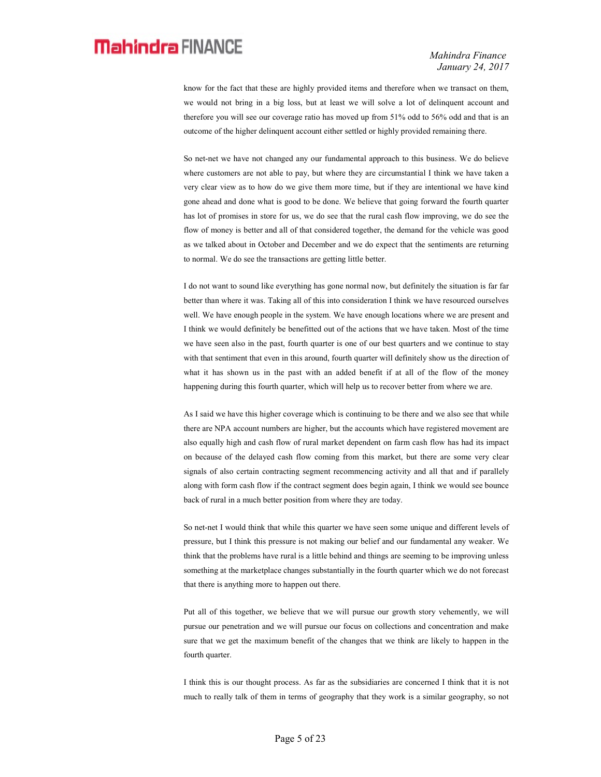know for the fact that these are highly provided items and therefore when we transact on them, we would not bring in a big loss, but at least we will solve a lot of delinquent account and therefore you will see our coverage ratio has moved up from 51% odd to 56% odd and that is an outcome of the higher delinquent account either settled or highly provided remaining there.

 So net-net we have not changed any our fundamental approach to this business. We do believe where customers are not able to pay, but where they are circumstantial I think we have taken a very clear view as to how do we give them more time, but if they are intentional we have kind gone ahead and done what is good to be done. We believe that going forward the fourth quarter has lot of promises in store for us, we do see that the rural cash flow improving, we do see the flow of money is better and all of that considered together, the demand for the vehicle was good as we talked about in October and December and we do expect that the sentiments are returning to normal. We do see the transactions are getting little better.

 I do not want to sound like everything has gone normal now, but definitely the situation is far far better than where it was. Taking all of this into consideration I think we have resourced ourselves well. We have enough people in the system. We have enough locations where we are present and I think we would definitely be benefitted out of the actions that we have taken. Most of the time we have seen also in the past, fourth quarter is one of our best quarters and we continue to stay with that sentiment that even in this around, fourth quarter will definitely show us the direction of what it has shown us in the past with an added benefit if at all of the flow of the money happening during this fourth quarter, which will help us to recover better from where we are.

 As I said we have this higher coverage which is continuing to be there and we also see that while there are NPA account numbers are higher, but the accounts which have registered movement are also equally high and cash flow of rural market dependent on farm cash flow has had its impact on because of the delayed cash flow coming from this market, but there are some very clear signals of also certain contracting segment recommencing activity and all that and if parallely along with form cash flow if the contract segment does begin again, I think we would see bounce back of rural in a much better position from where they are today.

 So net-net I would think that while this quarter we have seen some unique and different levels of pressure, but I think this pressure is not making our belief and our fundamental any weaker. We think that the problems have rural is a little behind and things are seeming to be improving unless something at the marketplace changes substantially in the fourth quarter which we do not forecast that there is anything more to happen out there.

 Put all of this together, we believe that we will pursue our growth story vehemently, we will pursue our penetration and we will pursue our focus on collections and concentration and make sure that we get the maximum benefit of the changes that we think are likely to happen in the fourth quarter.

 I think this is our thought process. As far as the subsidiaries are concerned I think that it is not much to really talk of them in terms of geography that they work is a similar geography, so not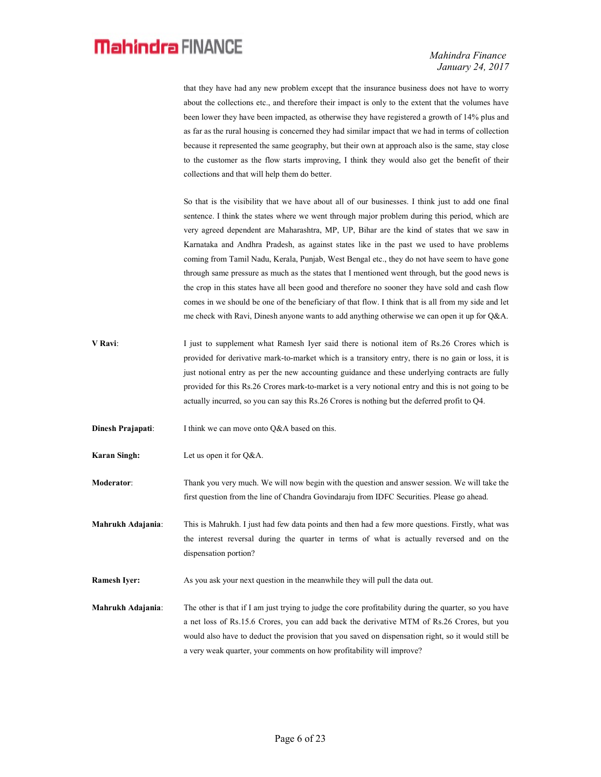that they have had any new problem except that the insurance business does not have to worry about the collections etc., and therefore their impact is only to the extent that the volumes have been lower they have been impacted, as otherwise they have registered a growth of 14% plus and as far as the rural housing is concerned they had similar impact that we had in terms of collection because it represented the same geography, but their own at approach also is the same, stay close to the customer as the flow starts improving, I think they would also get the benefit of their collections and that will help them do better.

 So that is the visibility that we have about all of our businesses. I think just to add one final sentence. I think the states where we went through major problem during this period, which are very agreed dependent are Maharashtra, MP, UP, Bihar are the kind of states that we saw in Karnataka and Andhra Pradesh, as against states like in the past we used to have problems coming from Tamil Nadu, Kerala, Punjab, West Bengal etc., they do not have seem to have gone through same pressure as much as the states that I mentioned went through, but the good news is the crop in this states have all been good and therefore no sooner they have sold and cash flow comes in we should be one of the beneficiary of that flow. I think that is all from my side and let me check with Ravi, Dinesh anyone wants to add anything otherwise we can open it up for Q&A.

- V Ravi: I just to supplement what Ramesh Iyer said there is notional item of Rs.26 Crores which is provided for derivative mark-to-market which is a transitory entry, there is no gain or loss, it is just notional entry as per the new accounting guidance and these underlying contracts are fully provided for this Rs.26 Crores mark-to-market is a very notional entry and this is not going to be actually incurred, so you can say this Rs.26 Crores is nothing but the deferred profit to Q4.
- **Dinesh Prajapati:** I think we can move onto Q&A based on this.

Karan Singh: Let us open it for Q&A.

Moderator: Thank you very much. We will now begin with the question and answer session. We will take the first question from the line of Chandra Govindaraju from IDFC Securities. Please go ahead.

Mahrukh Adajania: This is Mahrukh. I just had few data points and then had a few more questions. Firstly, what was the interest reversal during the quarter in terms of what is actually reversed and on the dispensation portion?

**Ramesh Iver:** As you ask your next question in the meanwhile they will pull the data out.

Mahrukh Adajania: The other is that if I am just trying to judge the core profitability during the quarter, so you have a net loss of Rs.15.6 Crores, you can add back the derivative MTM of Rs.26 Crores, but you would also have to deduct the provision that you saved on dispensation right, so it would still be a very weak quarter, your comments on how profitability will improve?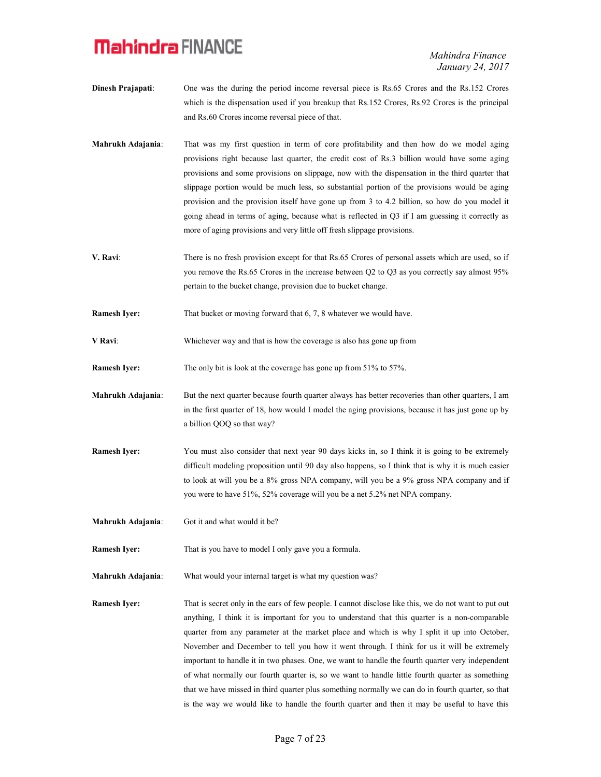Mahindra Finance January 24, 2017

- Dinesh Prajapati: One was the during the period income reversal piece is Rs.65 Crores and the Rs.152 Crores which is the dispensation used if you breakup that Rs.152 Crores, Rs.92 Crores is the principal and Rs.60 Crores income reversal piece of that.
- Mahrukh Adajania: That was my first question in term of core profitability and then how do we model aging provisions right because last quarter, the credit cost of Rs.3 billion would have some aging provisions and some provisions on slippage, now with the dispensation in the third quarter that slippage portion would be much less, so substantial portion of the provisions would be aging provision and the provision itself have gone up from 3 to 4.2 billion, so how do you model it going ahead in terms of aging, because what is reflected in Q3 if I am guessing it correctly as more of aging provisions and very little off fresh slippage provisions.
- V. Ravi: There is no fresh provision except for that Rs.65 Crores of personal assets which are used, so if you remove the Rs.65 Crores in the increase between Q2 to Q3 as you correctly say almost 95% pertain to the bucket change, provision due to bucket change.
- **Ramesh Iyer:** That bucket or moving forward that 6, 7, 8 whatever we would have.
- V Ravi: Whichever way and that is how the coverage is also has gone up from
- Ramesh Iyer: The only bit is look at the coverage has gone up from 51% to 57%.
- Mahrukh Adajania: But the next quarter because fourth quarter always has better recoveries than other quarters, I am in the first quarter of 18, how would I model the aging provisions, because it has just gone up by a billion QOQ so that way?
- Ramesh Iyer: You must also consider that next year 90 days kicks in, so I think it is going to be extremely difficult modeling proposition until 90 day also happens, so I think that is why it is much easier to look at will you be a 8% gross NPA company, will you be a 9% gross NPA company and if you were to have 51%, 52% coverage will you be a net 5.2% net NPA company.
- Mahrukh Adajania: Got it and what would it be?
- **Ramesh Iver:** That is you have to model I only gave you a formula.
- Mahrukh Adajania: What would your internal target is what my question was?
- Ramesh Iyer: That is secret only in the ears of few people. I cannot disclose like this, we do not want to put out anything, I think it is important for you to understand that this quarter is a non-comparable quarter from any parameter at the market place and which is why I split it up into October, November and December to tell you how it went through. I think for us it will be extremely important to handle it in two phases. One, we want to handle the fourth quarter very independent of what normally our fourth quarter is, so we want to handle little fourth quarter as something that we have missed in third quarter plus something normally we can do in fourth quarter, so that is the way we would like to handle the fourth quarter and then it may be useful to have this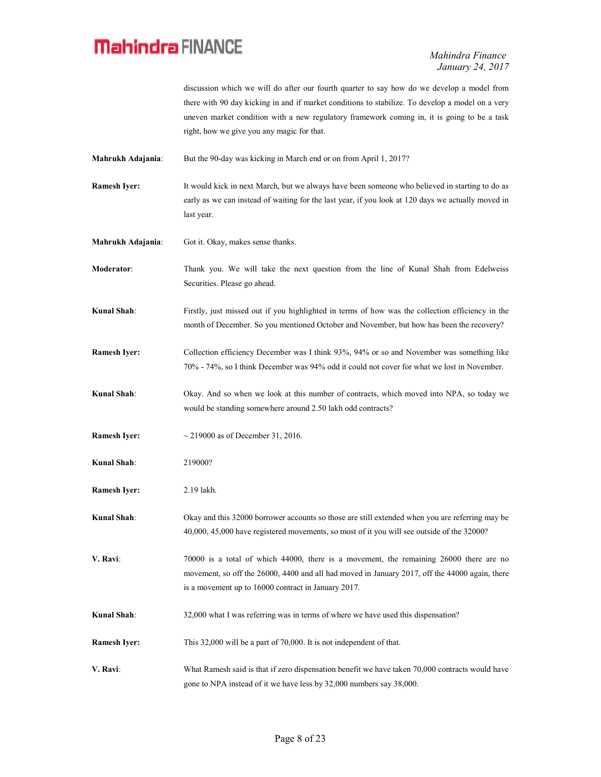discussion which we will do after our fourth quarter to say how do we develop a model from there with 90 day kicking in and if market conditions to stabilize. To develop a model on a very uneven market condition with a new regulatory framework coming in, it is going to be a task right, how we give you any magic for that.

Mahrukh Adajania: But the 90-day was kicking in March end or on from April 1, 2017?

- Ramesh Iyer: It would kick in next March, but we always have been someone who believed in starting to do as early as we can instead of waiting for the last year, if you look at 120 days we actually moved in last year.
- Mahrukh Adajania: Got it. Okay, makes sense thanks.

Moderator: Thank you. We will take the next question from the line of Kunal Shah from Edelweiss Securities. Please go ahead.

Kunal Shah: Firstly, just missed out if you highlighted in terms of how was the collection efficiency in the month of December. So you mentioned October and November, but how has been the recovery?

Ramesh Iyer: Collection efficiency December was I think 93%, 94% or so and November was something like 70% - 74%, so I think December was 94% odd it could not cover for what we lost in November.

- Kunal Shah: Okay. And so when we look at this number of contracts, which moved into NPA, so today we would be standing somewhere around 2.50 lakh odd contracts?
- **Ramesh Iyer:**  $\sim 219000$  as of December 31, 2016.

Kunal Shah: 219000?

Ramesh Iyer: 2.19 lakh.

Kunal Shah: Okay and this 32000 borrower accounts so those are still extended when you are referring may be 40,000, 45,000 have registered movements, so most of it you will see outside of the 32000?

V. Ravi: 70000 is a total of which 44000, there is a movement, the remaining 26000 there are no movement, so off the 26000, 4400 and all had moved in January 2017, off the 44000 again, there is a movement up to 16000 contract in January 2017.

- Kunal Shah: 32,000 what I was referring was in terms of where we have used this dispensation?
- Ramesh Iyer: This 32,000 will be a part of 70,000. It is not independent of that.
- V. Ravi: What Ramesh said is that if zero dispensation benefit we have taken 70,000 contracts would have gone to NPA instead of it we have less by 32,000 numbers say 38,000.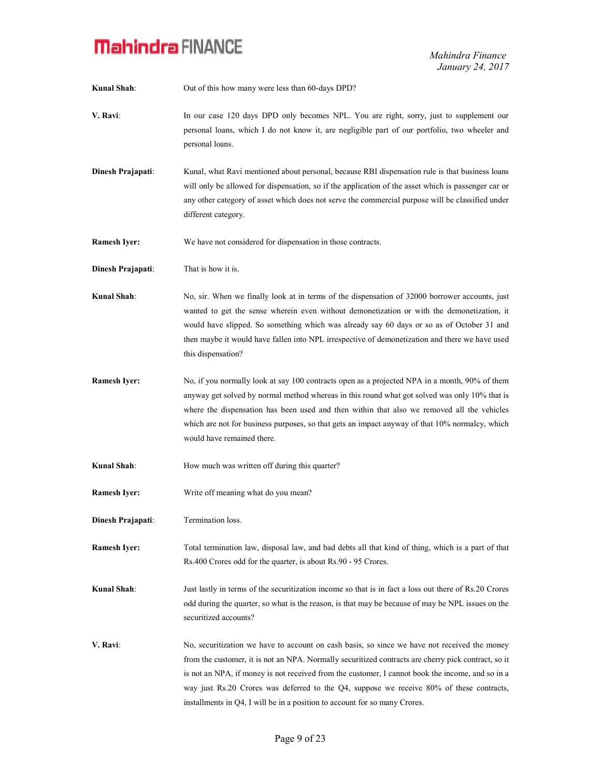Kunal Shah: Out of this how many were less than 60-days DPD?

- V. Ravi: In our case 120 days DPD only becomes NPL. You are right, sorry, just to supplement our personal loans, which I do not know it, are negligible part of our portfolio, two wheeler and personal loans.
- Dinesh Prajapati: Kunal, what Ravi mentioned about personal, because RBI dispensation rule is that business loans will only be allowed for dispensation, so if the application of the asset which is passenger car or any other category of asset which does not serve the commercial purpose will be classified under different category.

Ramesh Iyer: We have not considered for dispensation in those contracts.

Dinesh Prajapati: That is how it is.

Kunal Shah: No, sir. When we finally look at in terms of the dispensation of 32000 borrower accounts, just wanted to get the sense wherein even without demonetization or with the demonetization, it would have slipped. So something which was already say 60 days or so as of October 31 and then maybe it would have fallen into NPL irrespective of demonetization and there we have used this dispensation?

- Ramesh Iyer: No, if you normally look at say 100 contracts open as a projected NPA in a month, 90% of them anyway get solved by normal method whereas in this round what got solved was only 10% that is where the dispensation has been used and then within that also we removed all the vehicles which are not for business purposes, so that gets an impact anyway of that 10% normalcy, which would have remained there.
- Kunal Shah: How much was written off during this quarter?
- Ramesh Iyer: Write off meaning what do you mean?
- Dinesh Prajapati: Termination loss.

Ramesh Iyer: Total termination law, disposal law, and bad debts all that kind of thing, which is a part of that Rs.400 Crores odd for the quarter, is about Rs.90 - 95 Crores.

Kunal Shah: Just lastly in terms of the securitization income so that is in fact a loss out there of Rs.20 Crores odd during the quarter, so what is the reason, is that may be because of may be NPL issues on the securitized accounts?

V. Ravi: No, securitization we have to account on cash basis, so since we have not received the money from the customer, it is not an NPA. Normally securitized contracts are cherry pick contract, so it is not an NPA, if money is not received from the customer, I cannot book the income, and so in a way just Rs.20 Crores was deferred to the Q4, suppose we receive 80% of these contracts, installments in Q4, I will be in a position to account for so many Crores.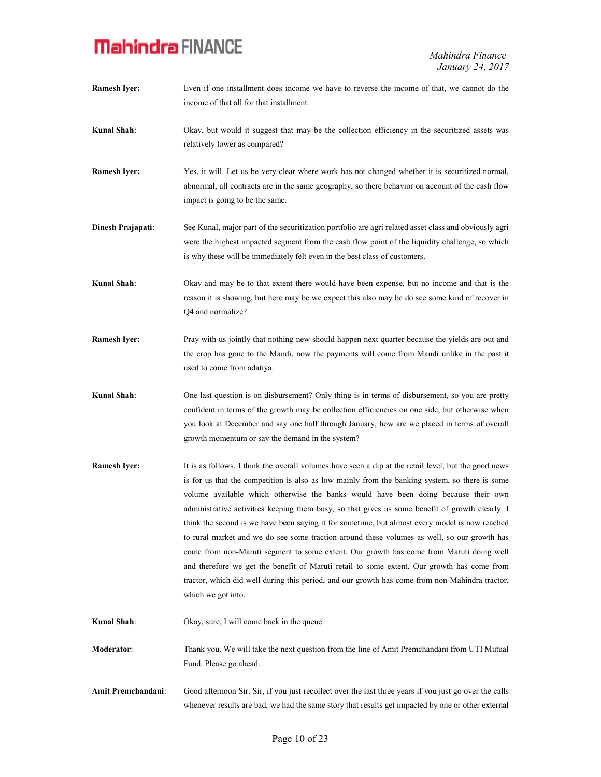| <b>Ramesh Iyer:</b> | Even if one installment does income we have to reverse the income of that, we cannot do the<br>income of that all for that installment.                                                                                                                                                                                                                                                                                                                                                                                                                                                                                                                                                                                                                                                                                                                                                                           |
|---------------------|-------------------------------------------------------------------------------------------------------------------------------------------------------------------------------------------------------------------------------------------------------------------------------------------------------------------------------------------------------------------------------------------------------------------------------------------------------------------------------------------------------------------------------------------------------------------------------------------------------------------------------------------------------------------------------------------------------------------------------------------------------------------------------------------------------------------------------------------------------------------------------------------------------------------|
| <b>Kunal Shah:</b>  | Okay, but would it suggest that may be the collection efficiency in the securitized assets was<br>relatively lower as compared?                                                                                                                                                                                                                                                                                                                                                                                                                                                                                                                                                                                                                                                                                                                                                                                   |
| <b>Ramesh Iyer:</b> | Yes, it will. Let us be very clear where work has not changed whether it is securitized normal,<br>abnormal, all contracts are in the same geography, so there behavior on account of the cash flow<br>impact is going to be the same.                                                                                                                                                                                                                                                                                                                                                                                                                                                                                                                                                                                                                                                                            |
| Dinesh Prajapati:   | See Kunal, major part of the securitization portfolio are agri related asset class and obviously agri<br>were the highest impacted segment from the cash flow point of the liquidity challenge, so which<br>is why these will be immediately felt even in the best class of customers.                                                                                                                                                                                                                                                                                                                                                                                                                                                                                                                                                                                                                            |
| <b>Kunal Shah:</b>  | Okay and may be to that extent there would have been expense, but no income and that is the<br>reason it is showing, but here may be we expect this also may be do see some kind of recover in<br>Q4 and normalize?                                                                                                                                                                                                                                                                                                                                                                                                                                                                                                                                                                                                                                                                                               |
| <b>Ramesh Iyer:</b> | Pray with us jointly that nothing new should happen next quarter because the yields are out and<br>the crop has gone to the Mandi, now the payments will come from Mandi unlike in the past it<br>used to come from adatiya.                                                                                                                                                                                                                                                                                                                                                                                                                                                                                                                                                                                                                                                                                      |
| <b>Kunal Shah:</b>  | One last question is on disbursement? Only thing is in terms of disbursement, so you are pretty<br>confident in terms of the growth may be collection efficiencies on one side, but otherwise when<br>you look at December and say one half through January, how are we placed in terms of overall<br>growth momentum or say the demand in the system?                                                                                                                                                                                                                                                                                                                                                                                                                                                                                                                                                            |
| <b>Ramesh Iyer:</b> | It is as follows. I think the overall volumes have seen a dip at the retail level, but the good news<br>is for us that the competition is also as low mainly from the banking system, so there is some<br>volume available which otherwise the banks would have been doing because their own<br>administrative activities keeping them busy, so that gives us some benefit of growth clearly. I<br>think the second is we have been saying it for sometime, but almost every model is now reached<br>to rural market and we do see some traction around these volumes as well, so our growth has<br>come from non-Maruti segment to some extent. Our growth has come from Maruti doing well<br>and therefore we get the benefit of Maruti retail to some extent. Our growth has come from<br>tractor, which did well during this period, and our growth has come from non-Mahindra tractor,<br>which we got into. |
| Kunal Shah:         | Okay, sure, I will come back in the queue.                                                                                                                                                                                                                                                                                                                                                                                                                                                                                                                                                                                                                                                                                                                                                                                                                                                                        |
| <b>Moderator:</b>   | Thank you. We will take the next question from the line of Amit Premchandani from UTI Mutual<br>Fund. Please go ahead.                                                                                                                                                                                                                                                                                                                                                                                                                                                                                                                                                                                                                                                                                                                                                                                            |
| Amit Premchandani:  | Good afternoon Sir. Sir, if you just recollect over the last three years if you just go over the calls<br>whenever results are bad, we had the same story that results get impacted by one or other external                                                                                                                                                                                                                                                                                                                                                                                                                                                                                                                                                                                                                                                                                                      |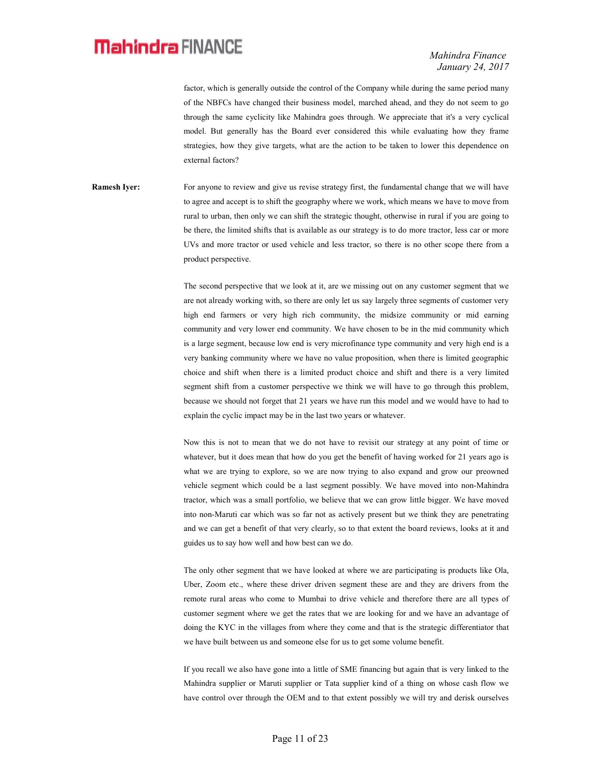Mahindra Finance January 24, 2017

factor, which is generally outside the control of the Company while during the same period many of the NBFCs have changed their business model, marched ahead, and they do not seem to go through the same cyclicity like Mahindra goes through. We appreciate that it's a very cyclical model. But generally has the Board ever considered this while evaluating how they frame strategies, how they give targets, what are the action to be taken to lower this dependence on external factors?

Ramesh Iyer: For anyone to review and give us revise strategy first, the fundamental change that we will have to agree and accept is to shift the geography where we work, which means we have to move from rural to urban, then only we can shift the strategic thought, otherwise in rural if you are going to be there, the limited shifts that is available as our strategy is to do more tractor, less car or more UVs and more tractor or used vehicle and less tractor, so there is no other scope there from a product perspective.

> The second perspective that we look at it, are we missing out on any customer segment that we are not already working with, so there are only let us say largely three segments of customer very high end farmers or very high rich community, the midsize community or mid earning community and very lower end community. We have chosen to be in the mid community which is a large segment, because low end is very microfinance type community and very high end is a very banking community where we have no value proposition, when there is limited geographic choice and shift when there is a limited product choice and shift and there is a very limited segment shift from a customer perspective we think we will have to go through this problem, because we should not forget that 21 years we have run this model and we would have to had to explain the cyclic impact may be in the last two years or whatever.

> Now this is not to mean that we do not have to revisit our strategy at any point of time or whatever, but it does mean that how do you get the benefit of having worked for 21 years ago is what we are trying to explore, so we are now trying to also expand and grow our preowned vehicle segment which could be a last segment possibly. We have moved into non-Mahindra tractor, which was a small portfolio, we believe that we can grow little bigger. We have moved into non-Maruti car which was so far not as actively present but we think they are penetrating and we can get a benefit of that very clearly, so to that extent the board reviews, looks at it and guides us to say how well and how best can we do.

> The only other segment that we have looked at where we are participating is products like Ola, Uber, Zoom etc., where these driver driven segment these are and they are drivers from the remote rural areas who come to Mumbai to drive vehicle and therefore there are all types of customer segment where we get the rates that we are looking for and we have an advantage of doing the KYC in the villages from where they come and that is the strategic differentiator that we have built between us and someone else for us to get some volume benefit.

> If you recall we also have gone into a little of SME financing but again that is very linked to the Mahindra supplier or Maruti supplier or Tata supplier kind of a thing on whose cash flow we have control over through the OEM and to that extent possibly we will try and derisk ourselves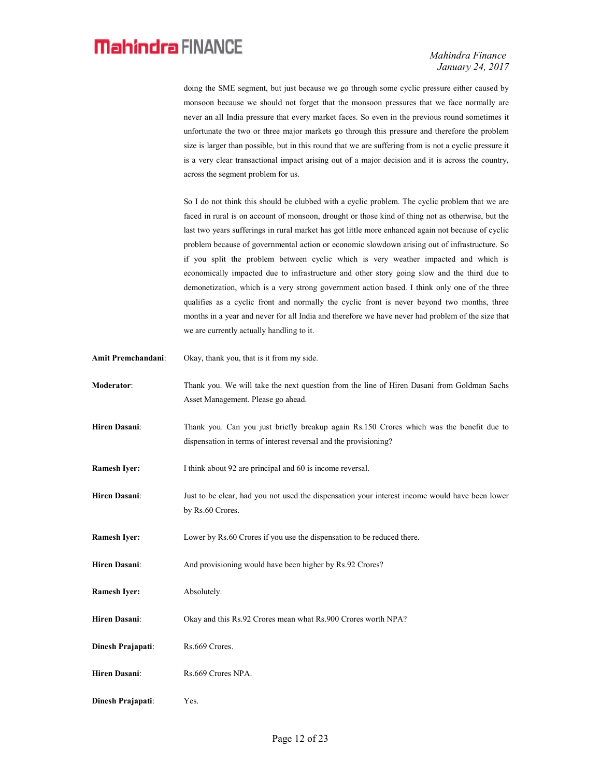Mahindra Finance January 24, 2017

doing the SME segment, but just because we go through some cyclic pressure either caused by monsoon because we should not forget that the monsoon pressures that we face normally are never an all India pressure that every market faces. So even in the previous round sometimes it unfortunate the two or three major markets go through this pressure and therefore the problem size is larger than possible, but in this round that we are suffering from is not a cyclic pressure it is a very clear transactional impact arising out of a major decision and it is across the country, across the segment problem for us.

 So I do not think this should be clubbed with a cyclic problem. The cyclic problem that we are faced in rural is on account of monsoon, drought or those kind of thing not as otherwise, but the last two years sufferings in rural market has got little more enhanced again not because of cyclic problem because of governmental action or economic slowdown arising out of infrastructure. So if you split the problem between cyclic which is very weather impacted and which is economically impacted due to infrastructure and other story going slow and the third due to demonetization, which is a very strong government action based. I think only one of the three qualifies as a cyclic front and normally the cyclic front is never beyond two months, three months in a year and never for all India and therefore we have never had problem of the size that we are currently actually handling to it.

- Amit Premchandani: Okay, thank you, that is it from my side.
- Moderator: Thank you. We will take the next question from the line of Hiren Dasani from Goldman Sachs Asset Management. Please go ahead.
- Hiren Dasani: Thank you. Can you just briefly breakup again Rs.150 Crores which was the benefit due to dispensation in terms of interest reversal and the provisioning?

Ramesh Iyer: I think about 92 are principal and 60 is income reversal.

- Hiren Dasani: Just to be clear, had you not used the dispensation your interest income would have been lower by Rs.60 Crores.
- Ramesh Iyer: Lower by Rs.60 Crores if you use the dispensation to be reduced there.

Hiren Dasani: And provisioning would have been higher by Rs.92 Crores?

Ramesh Iyer: Absolutely.

- Hiren Dasani: Okay and this Rs.92 Crores mean what Rs.900 Crores worth NPA?
- Dinesh Prajapati: Rs.669 Crores.
- Hiren Dasani: Rs.669 Crores NPA.
- Dinesh Prajapati: Yes.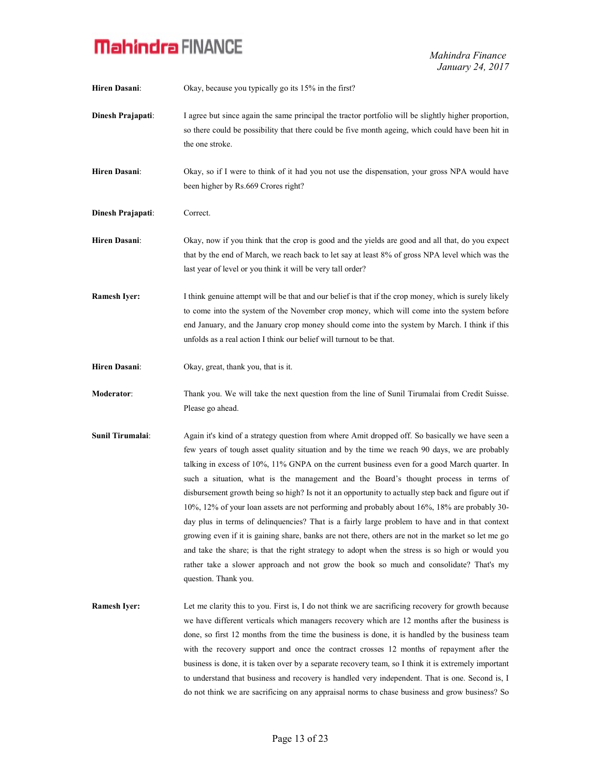Mahindra Finance January 24, 2017

| <b>Hiren Dasani:</b> | Okay, because you typically go its 15% in the first?                                                                                                                                                                                                                                                                                                                                                                                                                                                                                                                                                                                                                                                                                                                                                                                                                                                                                                                                                                         |
|----------------------|------------------------------------------------------------------------------------------------------------------------------------------------------------------------------------------------------------------------------------------------------------------------------------------------------------------------------------------------------------------------------------------------------------------------------------------------------------------------------------------------------------------------------------------------------------------------------------------------------------------------------------------------------------------------------------------------------------------------------------------------------------------------------------------------------------------------------------------------------------------------------------------------------------------------------------------------------------------------------------------------------------------------------|
| Dinesh Prajapati:    | I agree but since again the same principal the tractor portfolio will be slightly higher proportion,<br>so there could be possibility that there could be five month ageing, which could have been hit in<br>the one stroke.                                                                                                                                                                                                                                                                                                                                                                                                                                                                                                                                                                                                                                                                                                                                                                                                 |
| <b>Hiren Dasani:</b> | Okay, so if I were to think of it had you not use the dispensation, your gross NPA would have<br>been higher by Rs.669 Crores right?                                                                                                                                                                                                                                                                                                                                                                                                                                                                                                                                                                                                                                                                                                                                                                                                                                                                                         |
| Dinesh Prajapati:    | Correct.                                                                                                                                                                                                                                                                                                                                                                                                                                                                                                                                                                                                                                                                                                                                                                                                                                                                                                                                                                                                                     |
| Hiren Dasani:        | Okay, now if you think that the crop is good and the yields are good and all that, do you expect<br>that by the end of March, we reach back to let say at least 8% of gross NPA level which was the<br>last year of level or you think it will be very tall order?                                                                                                                                                                                                                                                                                                                                                                                                                                                                                                                                                                                                                                                                                                                                                           |
| <b>Ramesh Iyer:</b>  | I think genuine attempt will be that and our belief is that if the crop money, which is surely likely<br>to come into the system of the November crop money, which will come into the system before<br>end January, and the January crop money should come into the system by March. I think if this<br>unfolds as a real action I think our belief will turnout to be that.                                                                                                                                                                                                                                                                                                                                                                                                                                                                                                                                                                                                                                                 |
| <b>Hiren Dasani:</b> | Okay, great, thank you, that is it.                                                                                                                                                                                                                                                                                                                                                                                                                                                                                                                                                                                                                                                                                                                                                                                                                                                                                                                                                                                          |
| Moderator:           | Thank you. We will take the next question from the line of Sunil Tirumalai from Credit Suisse.<br>Please go ahead.                                                                                                                                                                                                                                                                                                                                                                                                                                                                                                                                                                                                                                                                                                                                                                                                                                                                                                           |
| Sunil Tirumalai:     | Again it's kind of a strategy question from where Amit dropped off. So basically we have seen a<br>few years of tough asset quality situation and by the time we reach 90 days, we are probably<br>talking in excess of 10%, 11% GNPA on the current business even for a good March quarter. In<br>such a situation, what is the management and the Board's thought process in terms of<br>disbursement growth being so high? Is not it an opportunity to actually step back and figure out if<br>10%, 12% of your loan assets are not performing and probably about 16%, 18% are probably 30-<br>day plus in terms of delinquencies? That is a fairly large problem to have and in that context<br>growing even if it is gaining share, banks are not there, others are not in the market so let me go<br>and take the share; is that the right strategy to adopt when the stress is so high or would you<br>rather take a slower approach and not grow the book so much and consolidate? That's my<br>question. Thank you. |
| <b>Ramesh Iyer:</b>  | Let me clarity this to you. First is, I do not think we are sacrificing recovery for growth because<br>we have different verticals which managers recovery which are 12 months after the business is<br>done, so first 12 months from the time the business is done, it is handled by the business team<br>with the recovery support and once the contract crosses 12 months of repayment after the<br>business is done, it is taken over by a separate recovery team, so I think it is extremely important<br>to understand that business and recovery is handled very independent. That is one. Second is, I<br>do not think we are sacrificing on any appraisal norms to chase business and grow business? So                                                                                                                                                                                                                                                                                                             |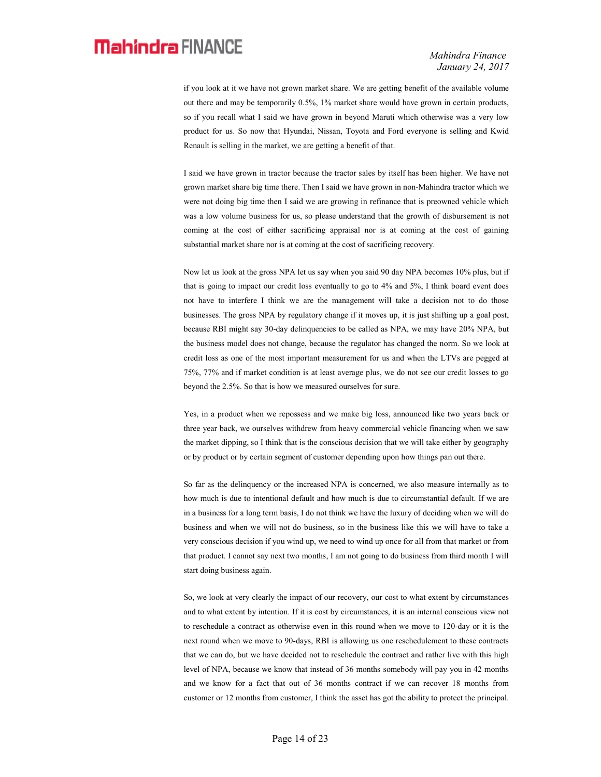if you look at it we have not grown market share. We are getting benefit of the available volume out there and may be temporarily 0.5%, 1% market share would have grown in certain products, so if you recall what I said we have grown in beyond Maruti which otherwise was a very low product for us. So now that Hyundai, Nissan, Toyota and Ford everyone is selling and Kwid Renault is selling in the market, we are getting a benefit of that.

I said we have grown in tractor because the tractor sales by itself has been higher. We have not grown market share big time there. Then I said we have grown in non-Mahindra tractor which we were not doing big time then I said we are growing in refinance that is preowned vehicle which was a low volume business for us, so please understand that the growth of disbursement is not coming at the cost of either sacrificing appraisal nor is at coming at the cost of gaining substantial market share nor is at coming at the cost of sacrificing recovery.

 Now let us look at the gross NPA let us say when you said 90 day NPA becomes 10% plus, but if that is going to impact our credit loss eventually to go to 4% and 5%, I think board event does not have to interfere I think we are the management will take a decision not to do those businesses. The gross NPA by regulatory change if it moves up, it is just shifting up a goal post, because RBI might say 30-day delinquencies to be called as NPA, we may have 20% NPA, but the business model does not change, because the regulator has changed the norm. So we look at credit loss as one of the most important measurement for us and when the LTVs are pegged at 75%, 77% and if market condition is at least average plus, we do not see our credit losses to go beyond the 2.5%. So that is how we measured ourselves for sure.

 Yes, in a product when we repossess and we make big loss, announced like two years back or three year back, we ourselves withdrew from heavy commercial vehicle financing when we saw the market dipping, so I think that is the conscious decision that we will take either by geography or by product or by certain segment of customer depending upon how things pan out there.

 So far as the delinquency or the increased NPA is concerned, we also measure internally as to how much is due to intentional default and how much is due to circumstantial default. If we are in a business for a long term basis, I do not think we have the luxury of deciding when we will do business and when we will not do business, so in the business like this we will have to take a very conscious decision if you wind up, we need to wind up once for all from that market or from that product. I cannot say next two months, I am not going to do business from third month I will start doing business again.

 So, we look at very clearly the impact of our recovery, our cost to what extent by circumstances and to what extent by intention. If it is cost by circumstances, it is an internal conscious view not to reschedule a contract as otherwise even in this round when we move to 120-day or it is the next round when we move to 90-days, RBI is allowing us one reschedulement to these contracts that we can do, but we have decided not to reschedule the contract and rather live with this high level of NPA, because we know that instead of 36 months somebody will pay you in 42 months and we know for a fact that out of 36 months contract if we can recover 18 months from customer or 12 months from customer, I think the asset has got the ability to protect the principal.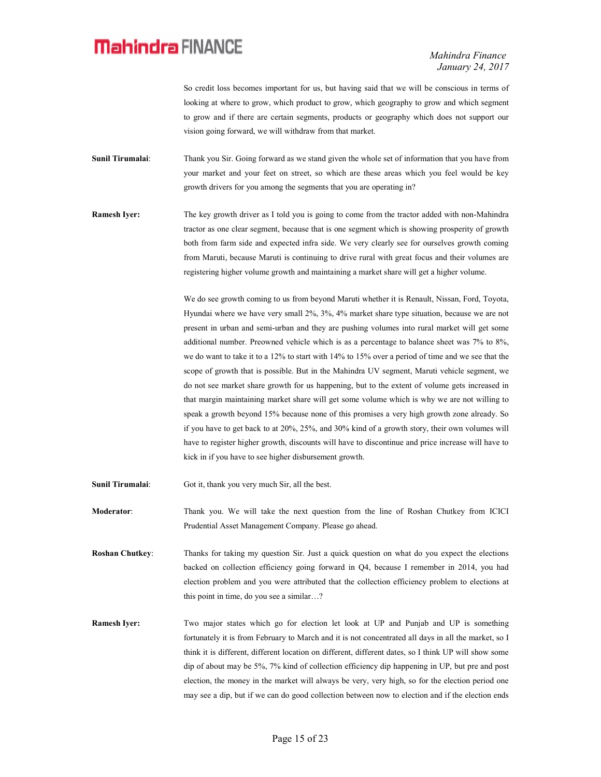So credit loss becomes important for us, but having said that we will be conscious in terms of looking at where to grow, which product to grow, which geography to grow and which segment to grow and if there are certain segments, products or geography which does not support our vision going forward, we will withdraw from that market.

- Sunil Tirumalai: Thank you Sir. Going forward as we stand given the whole set of information that you have from your market and your feet on street, so which are these areas which you feel would be key growth drivers for you among the segments that you are operating in?
- Ramesh Iyer: The key growth driver as I told you is going to come from the tractor added with non-Mahindra tractor as one clear segment, because that is one segment which is showing prosperity of growth both from farm side and expected infra side. We very clearly see for ourselves growth coming from Maruti, because Maruti is continuing to drive rural with great focus and their volumes are registering higher volume growth and maintaining a market share will get a higher volume.

We do see growth coming to us from beyond Maruti whether it is Renault, Nissan, Ford, Toyota, Hyundai where we have very small 2%, 3%, 4% market share type situation, because we are not present in urban and semi-urban and they are pushing volumes into rural market will get some additional number. Preowned vehicle which is as a percentage to balance sheet was 7% to 8%, we do want to take it to a 12% to start with 14% to 15% over a period of time and we see that the scope of growth that is possible. But in the Mahindra UV segment, Maruti vehicle segment, we do not see market share growth for us happening, but to the extent of volume gets increased in that margin maintaining market share will get some volume which is why we are not willing to speak a growth beyond 15% because none of this promises a very high growth zone already. So if you have to get back to at 20%, 25%, and 30% kind of a growth story, their own volumes will have to register higher growth, discounts will have to discontinue and price increase will have to kick in if you have to see higher disbursement growth.

Sunil Tirumalai: Got it, thank you very much Sir, all the best.

Moderator: Thank you. We will take the next question from the line of Roshan Chutkey from ICICI Prudential Asset Management Company. Please go ahead.

Roshan Chutkey: Thanks for taking my question Sir. Just a quick question on what do you expect the elections backed on collection efficiency going forward in Q4, because I remember in 2014, you had election problem and you were attributed that the collection efficiency problem to elections at this point in time, do you see a similar…?

**Ramesh Iyer:** Two major states which go for election let look at UP and Punjab and UP is something fortunately it is from February to March and it is not concentrated all days in all the market, so I think it is different, different location on different, different dates, so I think UP will show some dip of about may be 5%, 7% kind of collection efficiency dip happening in UP, but pre and post election, the money in the market will always be very, very high, so for the election period one may see a dip, but if we can do good collection between now to election and if the election ends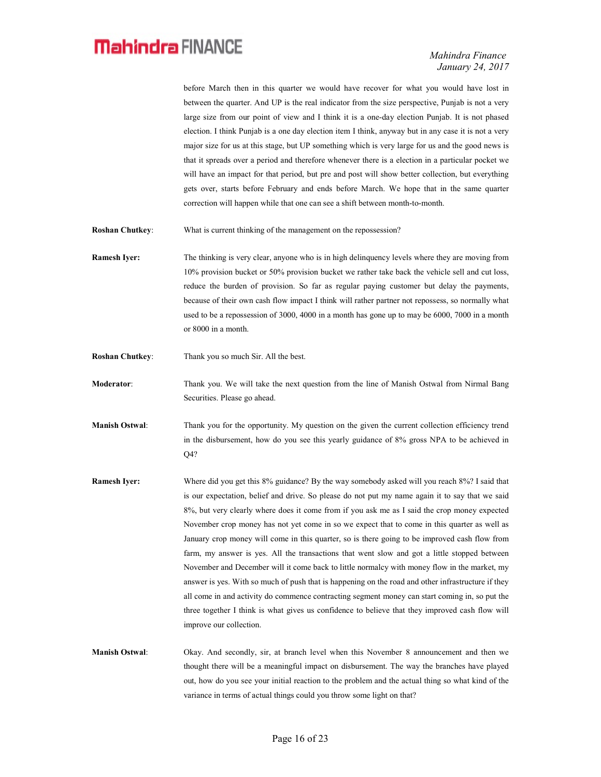#### Mahindra Finance January 24, 2017

before March then in this quarter we would have recover for what you would have lost in between the quarter. And UP is the real indicator from the size perspective, Punjab is not a very large size from our point of view and I think it is a one-day election Punjab. It is not phased election. I think Punjab is a one day election item I think, anyway but in any case it is not a very major size for us at this stage, but UP something which is very large for us and the good news is that it spreads over a period and therefore whenever there is a election in a particular pocket we will have an impact for that period, but pre and post will show better collection, but everything gets over, starts before February and ends before March. We hope that in the same quarter correction will happen while that one can see a shift between month-to-month.

Roshan Chutkey: What is current thinking of the management on the repossession?

Ramesh Iyer: The thinking is very clear, anyone who is in high delinquency levels where they are moving from 10% provision bucket or 50% provision bucket we rather take back the vehicle sell and cut loss, reduce the burden of provision. So far as regular paying customer but delay the payments, because of their own cash flow impact I think will rather partner not repossess, so normally what used to be a repossession of 3000, 4000 in a month has gone up to may be 6000, 7000 in a month or 8000 in a month.

Roshan Chutkey: Thank you so much Sir. All the best.

Moderator: Thank you. We will take the next question from the line of Manish Ostwal from Nirmal Bang Securities. Please go ahead.

- Manish Ostwal: Thank you for the opportunity. My question on the given the current collection efficiency trend in the disbursement, how do you see this yearly guidance of 8% gross NPA to be achieved in Q4?
- Ramesh Iyer: Where did you get this 8% guidance? By the way somebody asked will you reach 8%? I said that is our expectation, belief and drive. So please do not put my name again it to say that we said 8%, but very clearly where does it come from if you ask me as I said the crop money expected November crop money has not yet come in so we expect that to come in this quarter as well as January crop money will come in this quarter, so is there going to be improved cash flow from farm, my answer is yes. All the transactions that went slow and got a little stopped between November and December will it come back to little normalcy with money flow in the market, my answer is yes. With so much of push that is happening on the road and other infrastructure if they all come in and activity do commence contracting segment money can start coming in, so put the three together I think is what gives us confidence to believe that they improved cash flow will improve our collection.
- Manish Ostwal: Okay. And secondly, sir, at branch level when this November 8 announcement and then we thought there will be a meaningful impact on disbursement. The way the branches have played out, how do you see your initial reaction to the problem and the actual thing so what kind of the variance in terms of actual things could you throw some light on that?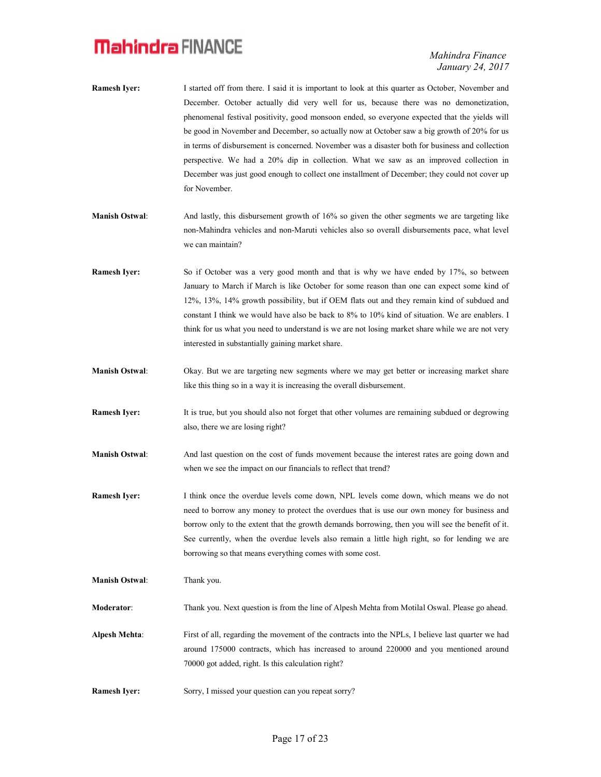- Ramesh Iyer: I started off from there. I said it is important to look at this quarter as October, November and December. October actually did very well for us, because there was no demonetization, phenomenal festival positivity, good monsoon ended, so everyone expected that the yields will be good in November and December, so actually now at October saw a big growth of 20% for us in terms of disbursement is concerned. November was a disaster both for business and collection perspective. We had a 20% dip in collection. What we saw as an improved collection in December was just good enough to collect one installment of December; they could not cover up for November.
- Manish Ostwal: And lastly, this disbursement growth of 16% so given the other segments we are targeting like non-Mahindra vehicles and non-Maruti vehicles also so overall disbursements pace, what level we can maintain?
- **Ramesh Iver:** So if October was a very good month and that is why we have ended by 17%, so between January to March if March is like October for some reason than one can expect some kind of 12%, 13%, 14% growth possibility, but if OEM flats out and they remain kind of subdued and constant I think we would have also be back to 8% to 10% kind of situation. We are enablers. I think for us what you need to understand is we are not losing market share while we are not very interested in substantially gaining market share.
- Manish Ostwal: Okay. But we are targeting new segments where we may get better or increasing market share like this thing so in a way it is increasing the overall disbursement.
- **Ramesh Iyer:** It is true, but you should also not forget that other volumes are remaining subdued or degrowing also, there we are losing right?
- Manish Ostwal: And last question on the cost of funds movement because the interest rates are going down and when we see the impact on our financials to reflect that trend?
- Ramesh Iyer: I think once the overdue levels come down, NPL levels come down, which means we do not need to borrow any money to protect the overdues that is use our own money for business and borrow only to the extent that the growth demands borrowing, then you will see the benefit of it. See currently, when the overdue levels also remain a little high right, so for lending we are borrowing so that means everything comes with some cost.
- Manish Ostwal: Thank you.

Moderator: Thank you. Next question is from the line of Alpesh Mehta from Motilal Oswal. Please go ahead.

- Alpesh Mehta: First of all, regarding the movement of the contracts into the NPLs, I believe last quarter we had around 175000 contracts, which has increased to around 220000 and you mentioned around 70000 got added, right. Is this calculation right?
- Ramesh Iyer: Sorry, I missed your question can you repeat sorry?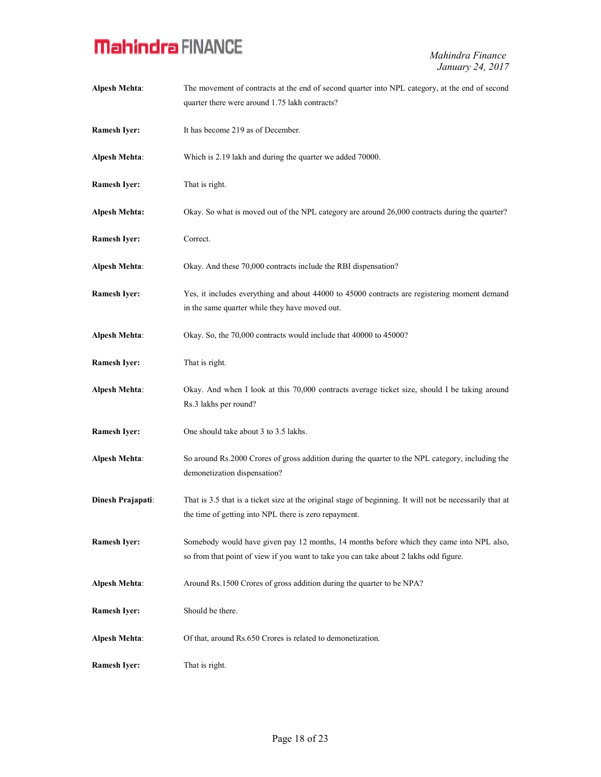Mahindra Finance January 24, 2017

| <b>Alpesh Mehta:</b> | The movement of contracts at the end of second quarter into NPL category, at the end of second<br>quarter there were around 1.75 lakh contracts?                                  |
|----------------------|-----------------------------------------------------------------------------------------------------------------------------------------------------------------------------------|
| <b>Ramesh Iyer:</b>  | It has become 219 as of December.                                                                                                                                                 |
| <b>Alpesh Mehta:</b> | Which is 2.19 lakh and during the quarter we added 70000.                                                                                                                         |
| <b>Ramesh Iyer:</b>  | That is right.                                                                                                                                                                    |
| <b>Alpesh Mehta:</b> | Okay. So what is moved out of the NPL category are around 26,000 contracts during the quarter?                                                                                    |
| <b>Ramesh Iyer:</b>  | Correct.                                                                                                                                                                          |
| <b>Alpesh Mehta:</b> | Okay. And these 70,000 contracts include the RBI dispensation?                                                                                                                    |
| <b>Ramesh Iyer:</b>  | Yes, it includes everything and about 44000 to 45000 contracts are registering moment demand<br>in the same quarter while they have moved out.                                    |
| <b>Alpesh Mehta:</b> | Okay. So, the 70,000 contracts would include that 40000 to 45000?                                                                                                                 |
| <b>Ramesh Iyer:</b>  | That is right.                                                                                                                                                                    |
| <b>Alpesh Mehta:</b> | Okay. And when I look at this 70,000 contracts average ticket size, should I be taking around<br>Rs.3 lakhs per round?                                                            |
| <b>Ramesh Iyer:</b>  | One should take about 3 to 3.5 lakhs.                                                                                                                                             |
| <b>Alpesh Mehta:</b> | So around Rs.2000 Crores of gross addition during the quarter to the NPL category, including the<br>demonetization dispensation?                                                  |
| Dinesh Prajapati:    | That is 3.5 that is a ticket size at the original stage of beginning. It will not be necessarily that at<br>the time of getting into NPL there is zero repayment.                 |
| <b>Ramesh Iyer:</b>  | Somebody would have given pay 12 months, 14 months before which they came into NPL also,<br>so from that point of view if you want to take you can take about 2 lakhs odd figure. |
| <b>Alpesh Mehta:</b> | Around Rs.1500 Crores of gross addition during the quarter to be NPA?                                                                                                             |
| <b>Ramesh Iyer:</b>  | Should be there.                                                                                                                                                                  |
| <b>Alpesh Mehta:</b> | Of that, around Rs.650 Crores is related to demonetization.                                                                                                                       |
| <b>Ramesh Iyer:</b>  | That is right.                                                                                                                                                                    |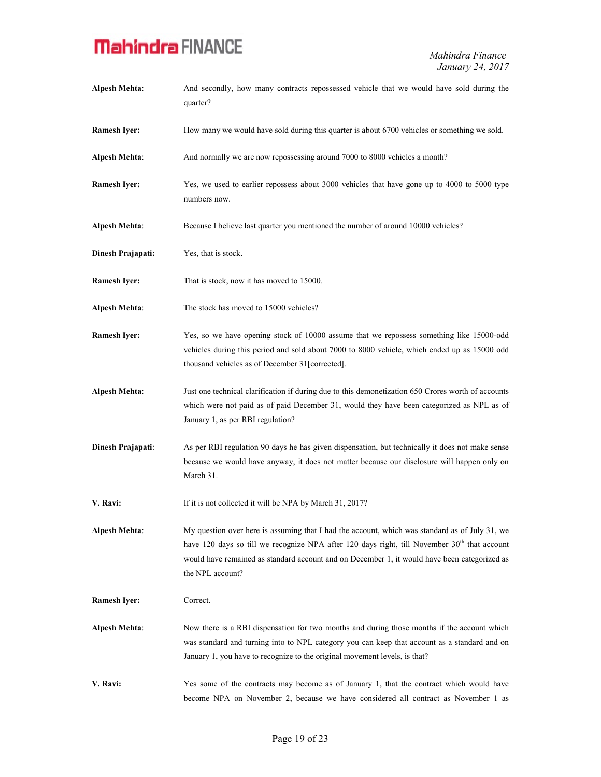Alpesh Mehta: And secondly, how many contracts repossessed vehicle that we would have sold during the quarter? Ramesh Iyer: How many we would have sold during this quarter is about 6700 vehicles or something we sold. Alpesh Mehta: And normally we are now repossessing around 7000 to 8000 vehicles a month? Ramesh Iyer: Yes, we used to earlier repossess about 3000 vehicles that have gone up to 4000 to 5000 type numbers now. Alpesh Mehta: Because I believe last quarter you mentioned the number of around 10000 vehicles? Dinesh Prajapati: Yes, that is stock. Ramesh Iyer: That is stock, now it has moved to 15000. Alpesh Mehta: The stock has moved to 15000 vehicles? Ramesh Iyer: Yes, so we have opening stock of 10000 assume that we repossess something like 15000-odd vehicles during this period and sold about 7000 to 8000 vehicle, which ended up as 15000 odd thousand vehicles as of December 31[corrected]. Alpesh Mehta: Just one technical clarification if during due to this demonetization 650 Crores worth of accounts which were not paid as of paid December 31, would they have been categorized as NPL as of January 1, as per RBI regulation? Dinesh Prajapati: As per RBI regulation 90 days he has given dispensation, but technically it does not make sense because we would have anyway, it does not matter because our disclosure will happen only on March 31. V. Ravi: If it is not collected it will be NPA by March 31, 2017? Alpesh Mehta: My question over here is assuming that I had the account, which was standard as of July 31, we have 120 days so till we recognize NPA after 120 days right, till November 30<sup>th</sup> that account would have remained as standard account and on December 1, it would have been categorized as the NPL account? Ramesh Iyer: Correct. Alpesh Mehta: Now there is a RBI dispensation for two months and during those months if the account which was standard and turning into to NPL category you can keep that account as a standard and on January 1, you have to recognize to the original movement levels, is that? V. Ravi: Yes some of the contracts may become as of January 1, that the contract which would have become NPA on November 2, because we have considered all contract as November 1 as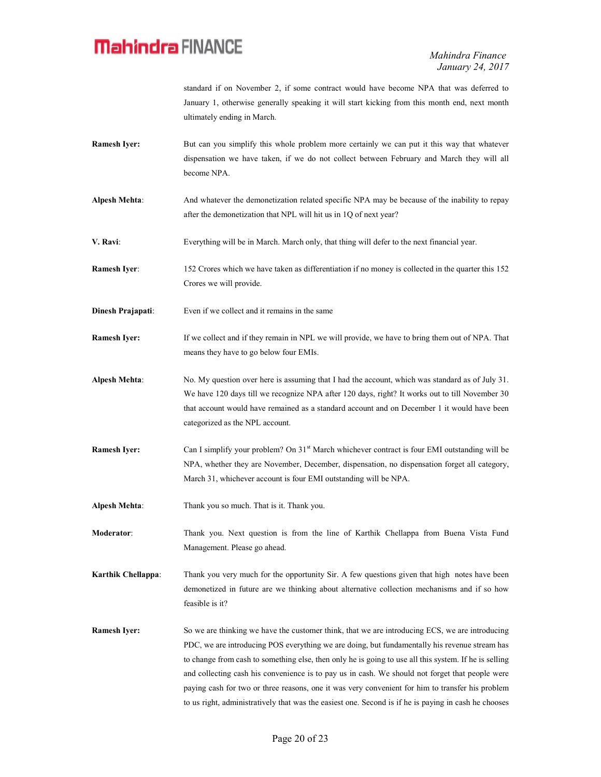standard if on November 2, if some contract would have become NPA that was deferred to January 1, otherwise generally speaking it will start kicking from this month end, next month ultimately ending in March.

- Ramesh Iyer: But can you simplify this whole problem more certainly we can put it this way that whatever dispensation we have taken, if we do not collect between February and March they will all become NPA.
- Alpesh Mehta: And whatever the demonetization related specific NPA may be because of the inability to repay after the demonetization that NPL will hit us in 1Q of next year?
- V. Ravi: Everything will be in March. March only, that thing will defer to the next financial year.
- Ramesh Iyer: 152 Crores which we have taken as differentiation if no money is collected in the quarter this 152 Crores we will provide.
- **Dinesh Prajapati:** Even if we collect and it remains in the same
- Ramesh Iyer: If we collect and if they remain in NPL we will provide, we have to bring them out of NPA. That means they have to go below four EMIs.
- Alpesh Mehta: No. My question over here is assuming that I had the account, which was standard as of July 31. We have 120 days till we recognize NPA after 120 days, right? It works out to till November 30 that account would have remained as a standard account and on December 1 it would have been categorized as the NPL account.
- Ramesh Iyer: Can I simplify your problem? On 31<sup>st</sup> March whichever contract is four EMI outstanding will be NPA, whether they are November, December, dispensation, no dispensation forget all category, March 31, whichever account is four EMI outstanding will be NPA.
- Alpesh Mehta: Thank you so much. That is it. Thank you.

Moderator: Thank you. Next question is from the line of Karthik Chellappa from Buena Vista Fund Management. Please go ahead.

Karthik Chellappa: Thank you very much for the opportunity Sir. A few questions given that high notes have been demonetized in future are we thinking about alternative collection mechanisms and if so how feasible is it?

Ramesh Iyer: So we are thinking we have the customer think, that we are introducing ECS, we are introducing PDC, we are introducing POS everything we are doing, but fundamentally his revenue stream has to change from cash to something else, then only he is going to use all this system. If he is selling and collecting cash his convenience is to pay us in cash. We should not forget that people were paying cash for two or three reasons, one it was very convenient for him to transfer his problem to us right, administratively that was the easiest one. Second is if he is paying in cash he chooses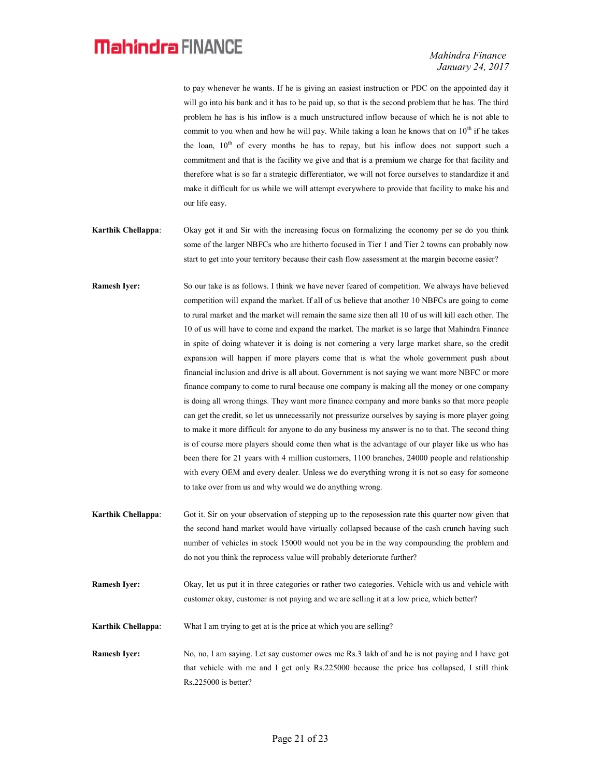to pay whenever he wants. If he is giving an easiest instruction or PDC on the appointed day it will go into his bank and it has to be paid up, so that is the second problem that he has. The third problem he has is his inflow is a much unstructured inflow because of which he is not able to commit to you when and how he will pay. While taking a loan he knows that on  $10<sup>th</sup>$  if he takes the loan,  $10<sup>th</sup>$  of every months he has to repay, but his inflow does not support such a commitment and that is the facility we give and that is a premium we charge for that facility and therefore what is so far a strategic differentiator, we will not force ourselves to standardize it and make it difficult for us while we will attempt everywhere to provide that facility to make his and our life easy.

- Karthik Chellappa: Okay got it and Sir with the increasing focus on formalizing the economy per se do you think some of the larger NBFCs who are hitherto focused in Tier 1 and Tier 2 towns can probably now start to get into your territory because their cash flow assessment at the margin become easier?
- Ramesh Iyer: So our take is as follows. I think we have never feared of competition. We always have believed competition will expand the market. If all of us believe that another 10 NBFCs are going to come to rural market and the market will remain the same size then all 10 of us will kill each other. The 10 of us will have to come and expand the market. The market is so large that Mahindra Finance in spite of doing whatever it is doing is not cornering a very large market share, so the credit expansion will happen if more players come that is what the whole government push about financial inclusion and drive is all about. Government is not saying we want more NBFC or more finance company to come to rural because one company is making all the money or one company is doing all wrong things. They want more finance company and more banks so that more people can get the credit, so let us unnecessarily not pressurize ourselves by saying is more player going to make it more difficult for anyone to do any business my answer is no to that. The second thing is of course more players should come then what is the advantage of our player like us who has been there for 21 years with 4 million customers, 1100 branches, 24000 people and relationship with every OEM and every dealer. Unless we do everything wrong it is not so easy for someone to take over from us and why would we do anything wrong.
- Karthik Chellappa: Got it. Sir on your observation of stepping up to the reposession rate this quarter now given that the second hand market would have virtually collapsed because of the cash crunch having such number of vehicles in stock 15000 would not you be in the way compounding the problem and do not you think the reprocess value will probably deteriorate further?
- Ramesh Iyer: Okay, let us put it in three categories or rather two categories. Vehicle with us and vehicle with customer okay, customer is not paying and we are selling it at a low price, which better?
- Karthik Chellappa: What I am trying to get at is the price at which you are selling?
- Ramesh Iyer: No, no, I am saying. Let say customer owes me Rs.3 lakh of and he is not paying and I have got that vehicle with me and I get only Rs.225000 because the price has collapsed, I still think Rs.225000 is better?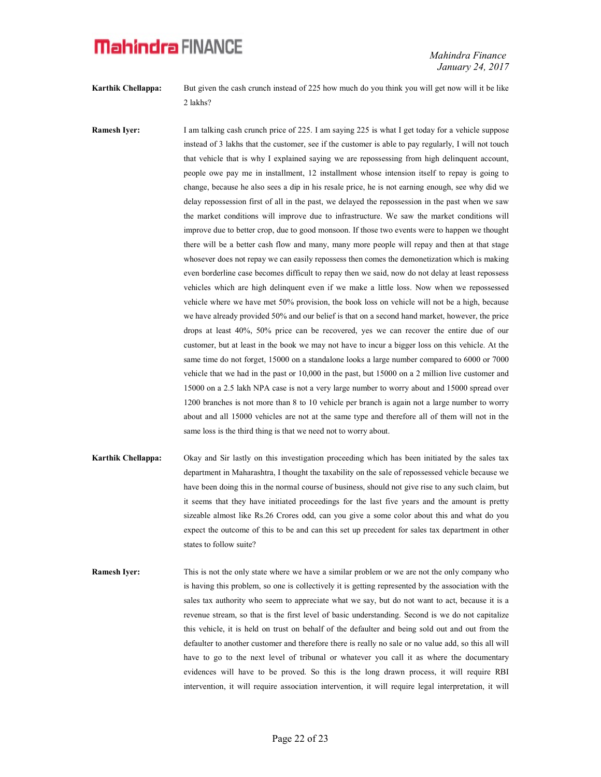Mahindra Finance January 24, 2017

Karthik Chellappa: But given the cash crunch instead of 225 how much do you think you will get now will it be like 2 lakhs?

Ramesh Iyer: I am talking cash crunch price of 225. I am saying 225 is what I get today for a vehicle suppose instead of 3 lakhs that the customer, see if the customer is able to pay regularly, I will not touch that vehicle that is why I explained saying we are repossessing from high delinquent account, people owe pay me in installment, 12 installment whose intension itself to repay is going to change, because he also sees a dip in his resale price, he is not earning enough, see why did we delay repossession first of all in the past, we delayed the repossession in the past when we saw the market conditions will improve due to infrastructure. We saw the market conditions will improve due to better crop, due to good monsoon. If those two events were to happen we thought there will be a better cash flow and many, many more people will repay and then at that stage whosever does not repay we can easily repossess then comes the demonetization which is making even borderline case becomes difficult to repay then we said, now do not delay at least repossess vehicles which are high delinquent even if we make a little loss. Now when we repossessed vehicle where we have met 50% provision, the book loss on vehicle will not be a high, because we have already provided 50% and our belief is that on a second hand market, however, the price drops at least 40%, 50% price can be recovered, yes we can recover the entire due of our customer, but at least in the book we may not have to incur a bigger loss on this vehicle. At the same time do not forget, 15000 on a standalone looks a large number compared to 6000 or 7000 vehicle that we had in the past or 10,000 in the past, but 15000 on a 2 million live customer and 15000 on a 2.5 lakh NPA case is not a very large number to worry about and 15000 spread over 1200 branches is not more than 8 to 10 vehicle per branch is again not a large number to worry about and all 15000 vehicles are not at the same type and therefore all of them will not in the same loss is the third thing is that we need not to worry about.

- Karthik Chellappa: Okay and Sir lastly on this investigation proceeding which has been initiated by the sales tax department in Maharashtra, I thought the taxability on the sale of repossessed vehicle because we have been doing this in the normal course of business, should not give rise to any such claim, but it seems that they have initiated proceedings for the last five years and the amount is pretty sizeable almost like Rs.26 Crores odd, can you give a some color about this and what do you expect the outcome of this to be and can this set up precedent for sales tax department in other states to follow suite?
- Ramesh Iyer: This is not the only state where we have a similar problem or we are not the only company who is having this problem, so one is collectively it is getting represented by the association with the sales tax authority who seem to appreciate what we say, but do not want to act, because it is a revenue stream, so that is the first level of basic understanding. Second is we do not capitalize this vehicle, it is held on trust on behalf of the defaulter and being sold out and out from the defaulter to another customer and therefore there is really no sale or no value add, so this all will have to go to the next level of tribunal or whatever you call it as where the documentary evidences will have to be proved. So this is the long drawn process, it will require RBI intervention, it will require association intervention, it will require legal interpretation, it will